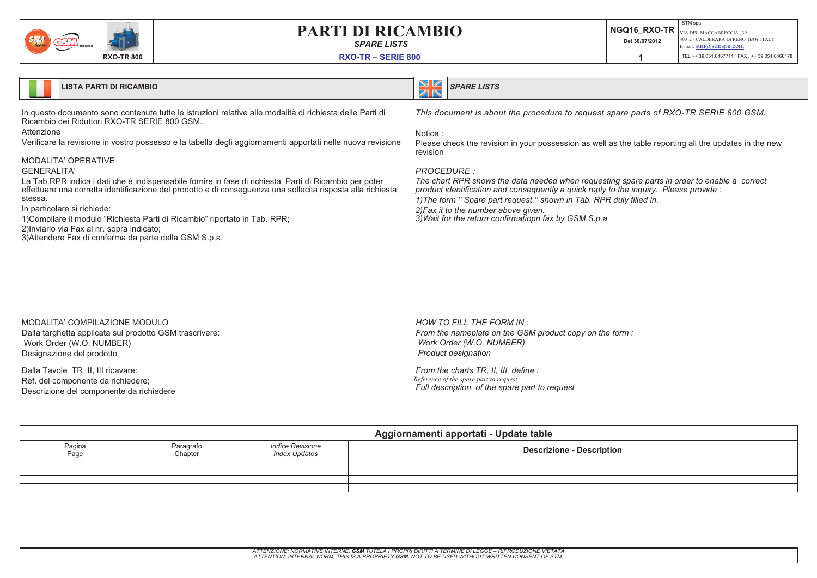*SPARE LISTS*

| <b>MBIO</b> | Del 30/07/2012 | STM spa<br>$\parallel$ NGQ16 _RXO-TR $\mid_{\rm VIA\, DEL\, MACCABRECCIA\, ,\, 39}$<br>40012 - CALDERARA DI RENO (BO) ITALY<br>E-mail: $stm@stmspa.com$ |
|-------------|----------------|---------------------------------------------------------------------------------------------------------------------------------------------------------|
|             |                |                                                                                                                                                         |

**RXO-TR – SERIE 800**



#### **LISTA PARTI DI RICAMBIO**

In questo documento sono contenute tutte le istruzioni relative alle modalità di richiesta delle Parti di Ricambio dei Riduttori RXO-TR SERIE 800 GSM.

Attenzione

Verificare la revisione in vostro possesso <sup>e</sup> la tabella degli aggiornamenti apportati nelle nuova revisione

#### MODALITA' OPERATIVE

#### GENERALITA'

La Tab.RPR indica i dati che è indispensabile fornire in fase di richiesta Parti di Ricambio per poter effettuare una corretta identificazione del prodotto <sup>e</sup> di conseguenza una sollecita risposta alla richiesta stessa.

The chart RPR shows the data needed when requesting spare parts in order to enable a correct product identification and consequently a quick reply to the inquiry. Please provide: 1) The form " Spare part request " shown in Tab. RPR duly filled in. *2)Fax it to the number above given. 3)Wait for the return confirmatiopn fax by GSM S.p.a*

In particolare si richiede:

- 1)Compilare il modulo "Richiesta Parti di Ricambio" riportato in Tab. RPR;
- 2)Inviarlo via Fax al nr. sopra indicato;

3)Attendere Fax di conferma da parte della GSM S.p.a.

#### This document is about the procedure to request spare parts of RXO-TR SERIE 800 GSM.

*SPARE LISTS*

Notice :

ZN

Please check the revision in your possession as well as the table reporting all the updates in the new revision

#### *PROCEDURE :*

#### MODALITA' COMPILAZIONE MODULODalla targhetta applicata sul prodotto GSM trascrivere: Work Order (W.O. NUMBER) Designazione del prodotto

Dalla Tavole TR, II, III ricavare: Ref. del componente da richiedere; Descrizione del componente da richiedere *HOW TO FILL THE FORM IN : From the nameplate on the GSM product copy on the form : Work Order (W.O. NUMBER) Product designation*

*From the charts TR, II, III define : Reference of the spare par<sup>t</sup> to reques<sup>t</sup> Full description of the spare part to request*

|                | Aggiornamenti apportati - Update table |                                          |                                  |  |
|----------------|----------------------------------------|------------------------------------------|----------------------------------|--|
| Pagina<br>Page | Paragrafo<br>Chapter                   | Indice Revisione<br><b>Index Updates</b> | <b>Descrizione - Description</b> |  |
|                |                                        |                                          |                                  |  |
|                |                                        |                                          |                                  |  |
|                |                                        |                                          |                                  |  |
|                |                                        |                                          |                                  |  |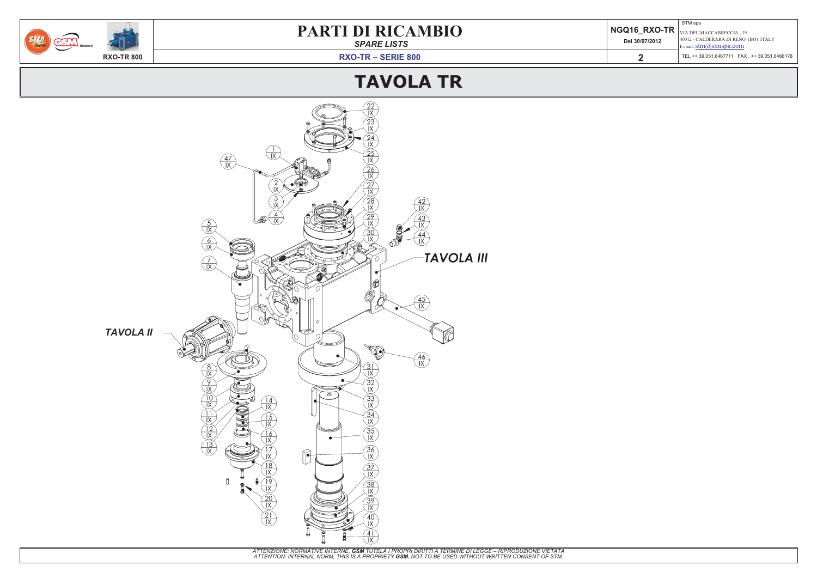*SPARE LISTS*

| <b>MBIO</b> | Del 30/07/2012 | STM spa<br>$\parallel$ NGQ16_RXO-TR $\mid_{\rm VIA\, DEL\, MACCABRECCIA\, ,\, 39}$<br>40012 - CALDERARA DI RENO (BO) ITALY<br>E-mail: $\text{stm}(\omega)$ stmspa.com |
|-------------|----------------|-----------------------------------------------------------------------------------------------------------------------------------------------------------------------|
|             |                | TEL ++ 39.051.6467711  FAX . ++ 39.051.6466178                                                                                                                        |
|             |                |                                                                                                                                                                       |

**RXO-TR – SERIE 800**



# **TAVOLA TR**

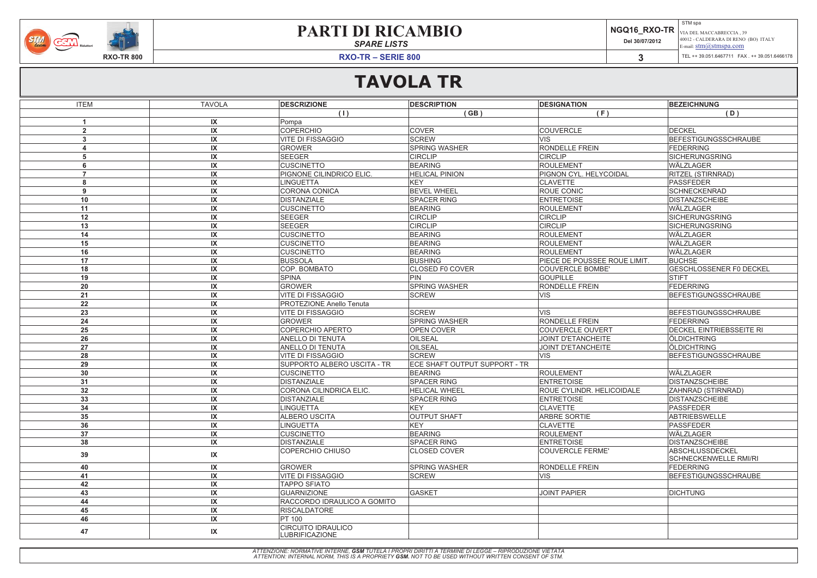**3**

### **PARTI DI RICAMBIO**

*SPARE LISTS*

#### STM spa VIA DEL MACCABRECCIA , 39 40012 - CALDERARA DI RENO (BO) ITALY E-mail: stm@stmspa.com



**Del 30/07/2012**

**RXO-TR – SERIE 800**

TEL ++ 39.051.6467711 FAX . ++ 39.051.6466178



**STM** 

| <b>ITEM</b>            | <b>TAVOLA</b>           | <b>DESCRIZIONE</b>                                 | <b>DESCRIPTION</b>            | <b>DESIGNATION</b>                  | <b>BEZEICHNUNG</b>                              |
|------------------------|-------------------------|----------------------------------------------------|-------------------------------|-------------------------------------|-------------------------------------------------|
|                        |                         | (1)                                                | (GB)                          | (F)                                 | (D)                                             |
|                        | $\mathsf{I} \mathsf{X}$ | Pompa                                              |                               |                                     |                                                 |
| $\overline{2}$         | IX                      | COPERCHIO                                          | <b>COVER</b>                  | <b>COUVERCLE</b>                    | <b>DECKEL</b>                                   |
| 3                      | IX                      | VITE DI FISSAGGIO                                  | SCREW                         | <b>VIS</b>                          | BEFESTIGUNGSSCHRAUBE                            |
| $\boldsymbol{\Lambda}$ | IX                      | <b>GROWER</b>                                      | <b>SPRING WASHER</b>          | <b>RONDELLE FREIN</b>               | <b>FEDERRING</b>                                |
| $5\phantom{.0}$        | IX                      | <b>SEEGER</b>                                      | <b>CIRCLIP</b>                | <b>CIRCLIP</b>                      | <b>SICHERUNGSRING</b>                           |
| 6                      | $\mathsf{I} \mathsf{X}$ | <b>CUSCINETTO</b>                                  | <b>BEARING</b>                | ROULEMENT                           | WÄLZLAGER                                       |
| $\overline{7}$         | IX                      | PIGNONE CILINDRICO ELIC.                           | <b>HELICAL PINION</b>         | <b>PIGNON CYL. HELYCOIDAL</b>       | <b>RITZEL (STIRNRAD)</b>                        |
| 8                      | IX                      | LINGUETTA                                          | KEY                           | <b>CLAVETTE</b>                     | <b>PASSFEDER</b>                                |
| 9                      | IX                      | CORONA CONICA                                      | <b>BEVEL WHEEL</b>            | <b>ROUE CONIC</b>                   | <b>SCHNECKENRAD</b>                             |
| 10                     | IX                      | <b>DISTANZIALE</b>                                 | <b>SPACER RING</b>            | <b>ENTRETOISE</b>                   | <b>DISTANZSCHEIBE</b>                           |
| 11                     | IX                      | <b>CUSCINETTO</b>                                  | <b>BEARING</b>                | ROULEMENT                           | WÄLZLAGER                                       |
| 12                     | IX                      | SEEGER                                             | <b>CIRCLIP</b>                | <b>CIRCLIP</b>                      | <b>SICHERUNGSRING</b>                           |
| 13                     | IX                      | SEEGER                                             | <b>CIRCLIP</b>                | <b>CIRCLIP</b>                      | SICHERUNGSRING                                  |
| 14                     | $\mathsf{I} \mathsf{X}$ | <b>CUSCINETTO</b>                                  | <b>BEARING</b>                | ROULEMENT                           | WÄLZLAGER                                       |
| 15                     | IX                      | <b>CUSCINETTO</b>                                  | <b>BEARING</b>                | ROULEMENT                           | WÄLZLAGER                                       |
| 16                     | IX                      | <b>CUSCINETTO</b>                                  | <b>BEARING</b>                | ROULEMENT                           | WÄLZLAGER                                       |
| 17                     | IX                      | <b>BUSSOLA</b>                                     | <b>BUSHING</b>                | <b>PIECE DE POUSSEE ROUE LIMIT.</b> | <b>BUCHSE</b>                                   |
| 18                     | IX                      | COP. BOMBATO                                       | <b>CLOSED F0 COVER</b>        | <b>COUVERCLE BOMBE'</b>             | <b>GESCHLOSSENER F0 DECKEL</b>                  |
| 19                     | IX                      | SPINA                                              | $ P$ IN                       | <b>GOUPILLE</b>                     | <b>STIFT</b>                                    |
| 20                     | IX                      | <b>GROWER</b>                                      | <b>SPRING WASHER</b>          | <b>RONDELLE FREIN</b>               | <b>FEDERRING</b>                                |
| 21                     | IX                      | <b>VITE DI FISSAGGIO</b>                           | SCREW                         | <b>VIS</b>                          | <b>BEFESTIGUNGSSCHRAUBE</b>                     |
| 22                     | $\mathsf{I} \mathsf{X}$ | <b>PROTEZIONE Anello Tenuta</b>                    |                               |                                     |                                                 |
| 23                     | IX                      | <b>VITE DI FISSAGGIO</b>                           | <b>SCREW</b>                  | <b>VIS</b>                          | BEFESTIGUNGSSCHRAUBE                            |
| 24                     | IX                      | <b>GROWER</b>                                      | <b>SPRING WASHER</b>          | <b>RONDELLE FREIN</b>               | <b>FEDERRING</b>                                |
| 25                     | IX                      | COPERCHIO APERTO                                   | <b>OPEN COVER</b>             | <b>COUVERCLE OUVERT</b>             | <b>DECKEL EINTRIEBSSEITE RI</b>                 |
| 26                     | IX                      | <b>ANELLO DI TENUTA</b>                            | <b>OILSEAL</b>                | JOINT D'ETANCHEITE                  | <b>ÖLDICHTRING</b>                              |
| 27                     | IX                      | <b>ANELLO DI TENUTA</b>                            | <b>OILSEAL</b>                | <b>JOINT D'ETANCHEITE</b>           | <b>ÖLDICHTRING</b>                              |
| 28                     | IX                      | <b>VITE DI FISSAGGIO</b>                           | SCREW                         | <b>VIS</b>                          | BEFESTIGUNGSSCHRAUBE                            |
| 29                     | IX                      | <b>SUPPORTO ALBERO USCITA - TR</b>                 | ECE SHAFT OUTPUT SUPPORT - TR |                                     |                                                 |
| 30                     | IX                      | <b>CUSCINETTO</b>                                  | <b>BEARING</b>                | ROULEMENT                           | WÄLZLAGER                                       |
| 31                     | IX                      | DISTANZIALE                                        | <b>SPACER RING</b>            | <b>ENTRETOISE</b>                   | <b>DISTANZSCHEIBE</b>                           |
| 32                     | IX                      | CORONA CILINDRICA ELIC.                            | <b>HELICAL WHEEL</b>          | <b>ROUE CYLINDR. HELICOIDALE</b>    | <b>ZAHNRAD (STIRNRAD)</b>                       |
| 33                     | IX                      | <b>DISTANZIALE</b>                                 | <b>SPACER RING</b>            | <b>ENTRETOISE</b>                   | DISTANZSCHEIBE                                  |
| 34                     | IX                      | <b>LINGUETTA</b>                                   | KEY                           | <b>CLAVETTE</b>                     | PASSFEDER                                       |
| 35                     | IX                      | <b>ALBERO USCITA</b>                               | <b>OUTPUT SHAFT</b>           | <b>ARBRE SORTIE</b>                 | ABTRIEBSWELLE                                   |
| 36                     | IX                      | <b>LINGUETTA</b>                                   | KEY                           | <b>CLAVETTE</b>                     | PASSFEDER                                       |
| 37                     | IX                      | <b>CUSCINETTO</b>                                  | BEARING                       | <b>ROULEMENT</b>                    | <b>WÄLZLAGER</b>                                |
| 38                     | $\sf IX$                | <b>DISTANZIALE</b>                                 | <b>SPACER RING</b>            | <b>ENTRETOISE</b>                   | <b>DISTANZSCHEIBE</b>                           |
| 39                     | IX                      | COPERCHIO CHIUSO                                   | <b>CLOSED COVER</b>           | COUVERCLE FERME'                    | ABSCHLUSSDECKEL<br><b>SCHNECKENWELLE RMI/RI</b> |
| 40                     | IX                      | <b>GROWER</b>                                      | <b>SPRING WASHER</b>          | <b>RONDELLE FREIN</b>               | <b>FEDERRING</b>                                |
| 41                     | IX                      | <b>VITE DI FISSAGGIO</b>                           | SCREW                         | <b>VIS</b>                          | BEFESTIGUNGSSCHRAUBE                            |
| 42                     | IX                      | <b>TAPPO SFIATO</b>                                |                               |                                     |                                                 |
| 43                     | IX                      | <b>GUARNIZIONE</b>                                 | GASKET                        | JOINT PAPIER                        | <b>DICHTUNG</b>                                 |
| 44                     | IX                      | RACCORDO IDRAULICO A GOMITO                        |                               |                                     |                                                 |
| 45                     | IX                      | <b>RISCALDATORE</b>                                |                               |                                     |                                                 |
| 46                     | IX                      | <b>PT 100</b>                                      |                               |                                     |                                                 |
| 47                     | IX                      | <b>CIRCUITO IDRAULICO</b><br><b>LUBRIFICAZIONE</b> |                               |                                     |                                                 |

ATTENZIONE: NORMATIVE INTERNE, **GSM** TUTELA I PROPRI DIRITTI A TERMINE DI LEGGE – RIPRODUZIONE VIETATA<br>ATTENTION: INTERNAL NORM, THIS IS A PROPRIETY **GSM.** NOT TO BE USED WITHOUT WRITTEN CONSENT OF STM.

|  | GQ16 RXO-TR |  |
|--|-------------|--|
|  |             |  |

# **TAVOLA TR**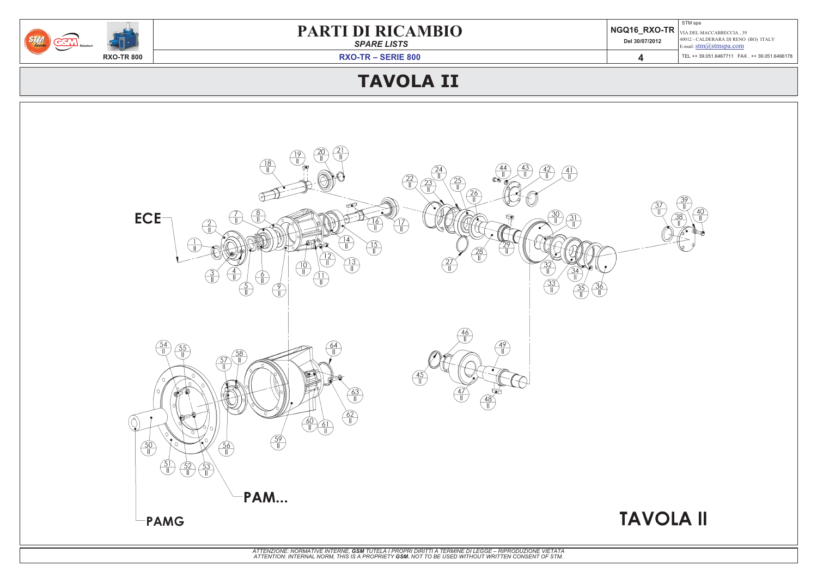*SPARE LISTS*

|             |                | STM spa                                                                              |
|-------------|----------------|--------------------------------------------------------------------------------------|
| <b>MBIO</b> |                | $\parallel$ NGQ16_RXO-TR $\mid_{\rm VIA\, DEL\, MACCABRECCIA\, ,\, 39}$              |
|             | Del 30/07/2012 | 40012 - CALDERARA DI RENO (BO) ITALY<br>E-mail: $\text{stm}(\widehat{a})$ stmspa.com |
|             |                | TEL ++ 39.051.6467711  FAX . ++ 39.051.6466178                                       |
|             |                |                                                                                      |



# **TAVOLA II**

**RXO-TR – SERIE 800**



### **TAVOLA II**

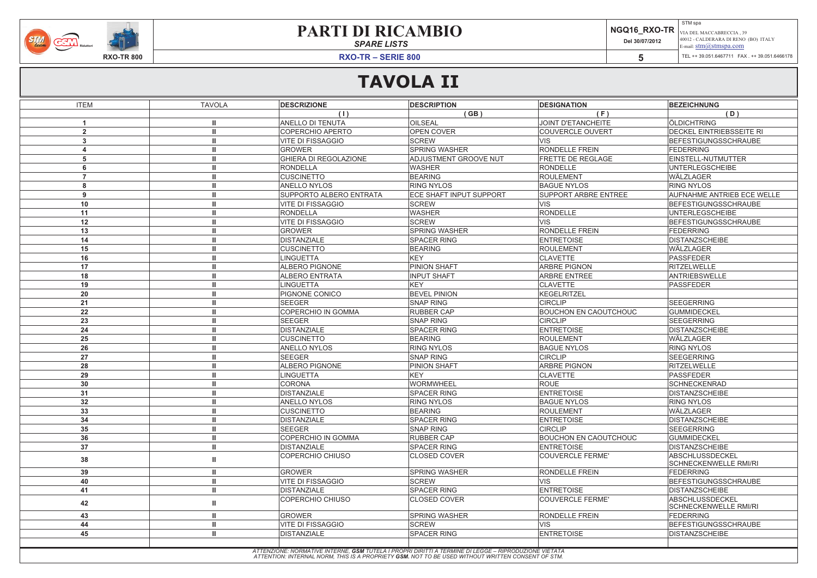*SPARE LISTS*

| <b>MBIO</b> | Del 30/07/2012 | STM spa<br>$\parallel$ NGQ16 RXO-TR $\mid_{\rm VIA\, DEL\, MACCABRECCIA\, ,\, 39}$<br>40012 - CALDERARA DI RENO (BO) ITALY<br>E-mail: $\text{stm}(\mathcal{Q}$ stmspa.com |
|-------------|----------------|---------------------------------------------------------------------------------------------------------------------------------------------------------------------------|
|             |                |                                                                                                                                                                           |

**RXO-TR – SERIE 800**





# **TAVOLA II**

| <b>ITEM</b>              | <b>TAVOLA</b> | <b>DESCRIZIONE</b>           | <b>DESCRIPTION</b>                                                                                                                                                                                        | <b>DESIGNATION</b>           | <b>BEZEICHNUNG</b>                              |
|--------------------------|---------------|------------------------------|-----------------------------------------------------------------------------------------------------------------------------------------------------------------------------------------------------------|------------------------------|-------------------------------------------------|
|                          |               | (1)                          | (GB)                                                                                                                                                                                                      | (F)                          | (D)                                             |
| -1                       |               | ANELLO DI TENUTA             | <b>OILSEAL</b>                                                                                                                                                                                            | <b>JOINT D'ETANCHEITE</b>    | ÖLDICHTRING                                     |
| $\overline{2}$           |               | <b>COPERCHIO APERTO</b>      | <b>OPEN COVER</b>                                                                                                                                                                                         | <b>COUVERCLE OUVERT</b>      | <b>DECKEL EINTRIEBSSEITE RI</b>                 |
| $\mathbf{3}$             |               | <b>VITE DI FISSAGGIO</b>     | <b>SCREW</b>                                                                                                                                                                                              | <b>VIS</b>                   | BEFESTIGUNGSSCHRAUBE                            |
|                          |               | <b>GROWER</b>                | <b>SPRING WASHER</b>                                                                                                                                                                                      | <b>RONDELLE FREIN</b>        | <b>FEDERRING</b>                                |
| 5                        |               | <b>GHIERA DI REGOLAZIONE</b> | <b>ADJUSTMENT GROOVE NUT</b>                                                                                                                                                                              | <b>FRETTE DE REGLAGE</b>     | EINSTELL-NUTMUTTER                              |
| 6                        |               | <b>RONDELLA</b>              | <b>WASHER</b>                                                                                                                                                                                             | RONDELLE                     | <b>UNTERLEGSCHEIBE</b>                          |
| $\overline{\phantom{a}}$ |               | <b>CUSCINETTO</b>            | <b>BEARING</b>                                                                                                                                                                                            | <b>ROULEMENT</b>             | <b>WÄLZLAGER</b>                                |
| 8                        |               | ANELLO NYLOS                 | <b>RING NYLOS</b>                                                                                                                                                                                         | <b>BAGUE NYLOS</b>           | <b>RING NYLOS</b>                               |
| 9                        |               | SUPPORTO ALBERO ENTRATA      | ECE SHAFT INPUT SUPPORT                                                                                                                                                                                   | <b>SUPPORT ARBRE ENTREE</b>  | <b>AUFNAHME ANTRIEB ECE WELLE</b>               |
| 10                       |               | <b>VITE DI FISSAGGIO</b>     | <b>SCREW</b>                                                                                                                                                                                              | <b>VIS</b>                   | <b>BEFESTIGUNGSSCHRAUBE</b>                     |
| 11                       |               | <b>RONDELLA</b>              | <b>WASHER</b>                                                                                                                                                                                             | RONDELLE                     | <b>UNTERLEGSCHEIBE</b>                          |
| 12                       |               | <b>VITE DI FISSAGGIO</b>     | <b>SCREW</b>                                                                                                                                                                                              | <b>VIS</b>                   | BEFESTIGUNGSSCHRAUBE                            |
| 13                       |               | <b>GROWER</b>                | <b>SPRING WASHER</b>                                                                                                                                                                                      | <b>RONDELLE FREIN</b>        | <b>FEDERRING</b>                                |
| 14                       |               | <b>DISTANZIALE</b>           | <b>SPACER RING</b>                                                                                                                                                                                        | <b>ENTRETOISE</b>            | <b>DISTANZSCHEIBE</b>                           |
| 15                       |               | <b>CUSCINETTO</b>            | <b>BEARING</b>                                                                                                                                                                                            | ROULEMENT                    | WÄLZLAGER                                       |
| 16                       |               | <b>LINGUETTA</b>             | <b>KEY</b>                                                                                                                                                                                                | <b>CLAVETTE</b>              | <b>PASSFEDER</b>                                |
| 17                       |               | <b>ALBERO PIGNONE</b>        | <b>PINION SHAFT</b>                                                                                                                                                                                       | <b>ARBRE PIGNON</b>          | RITZELWELLE                                     |
| 18                       |               | <b>ALBERO ENTRATA</b>        | <b>INPUT SHAFT</b>                                                                                                                                                                                        | <b>ARBRE ENTREE</b>          | ANTRIEBSWELLE                                   |
| 19                       |               | <b>LINGUETTA</b>             | KEY                                                                                                                                                                                                       | <b>CLAVETTE</b>              | PASSFEDER                                       |
| 20                       |               | PIGNONE CONICO               | <b>BEVEL PINION</b>                                                                                                                                                                                       | KEGELRITZEL                  |                                                 |
| 21                       |               | <b>SEEGER</b>                | <b>SNAP RING</b>                                                                                                                                                                                          | <b>CIRCLIP</b>               | SEEGERRING                                      |
| 22                       |               | COPERCHIO IN GOMMA           | <b>RUBBER CAP</b>                                                                                                                                                                                         | <b>BOUCHON EN CAOUTCHOUC</b> | <b>GUMMIDECKEL</b>                              |
| 23                       |               | <b>SEEGER</b>                | <b>SNAP RING</b>                                                                                                                                                                                          | <b>CIRCLIP</b>               | SEEGERRING                                      |
| 24                       |               | <b>DISTANZIALE</b>           | <b>SPACER RING</b>                                                                                                                                                                                        | <b>ENTRETOISE</b>            | <b>DISTANZSCHEIBE</b>                           |
| 25                       |               | <b>CUSCINETTO</b>            | <b>BEARING</b>                                                                                                                                                                                            | ROULEMENT                    | WÄLZLAGER                                       |
| 26                       |               | <b>ANELLO NYLOS</b>          | <b>RING NYLOS</b>                                                                                                                                                                                         | <b>BAGUE NYLOS</b>           | <b>RING NYLOS</b>                               |
| 27                       |               | <b>SEEGER</b>                | <b>SNAP RING</b>                                                                                                                                                                                          | <b>CIRCLIP</b>               | SEEGERRING                                      |
| 28                       |               | <b>ALBERO PIGNONE</b>        | PINION SHAFT                                                                                                                                                                                              | <b>ARBRE PIGNON</b>          | RITZELWELLE                                     |
| 29                       |               | <b>LINGUETTA</b>             | <b>KEY</b>                                                                                                                                                                                                | <b>CLAVETTE</b>              | PASSFEDER                                       |
| 30                       |               | <b>CORONA</b>                | <b>WORMWHEEL</b>                                                                                                                                                                                          | <b>ROUE</b>                  | <b>SCHNECKENRAD</b>                             |
| 31                       |               | <b>DISTANZIALE</b>           | <b>SPACER RING</b>                                                                                                                                                                                        | <b>ENTRETOISE</b>            | <b>DISTANZSCHEIBE</b>                           |
| 32                       |               | <b>ANELLO NYLOS</b>          | <b>RING NYLOS</b>                                                                                                                                                                                         | <b>BAGUE NYLOS</b>           | <b>RING NYLOS</b>                               |
| 33                       |               | <b>CUSCINETTO</b>            | <b>BEARING</b>                                                                                                                                                                                            | <b>ROULEMENT</b>             | WÄLZLAGER                                       |
| 34                       |               | <b>DISTANZIALE</b>           | <b>SPACER RING</b>                                                                                                                                                                                        | <b>ENTRETOISE</b>            | <b>DISTANZSCHEIBE</b>                           |
| 35                       |               | <b>SEEGER</b>                | <b>SNAP RING</b>                                                                                                                                                                                          | <b>CIRCLIP</b>               | SEEGERRING                                      |
| 36                       |               | COPERCHIO IN GOMMA           | <b>RUBBER CAP</b>                                                                                                                                                                                         | <b>BOUCHON EN CAOUTCHOUC</b> | <b>GUMMIDECKEL</b>                              |
| 37                       |               | <b>DISTANZIALE</b>           | <b>SPACER RING</b>                                                                                                                                                                                        | <b>ENTRETOISE</b>            | <b>IDISTANZSCHEIBE</b>                          |
| 38                       |               | <b>COPERCHIO CHIUSO</b>      | <b>CLOSED COVER</b>                                                                                                                                                                                       | <b>COUVERCLE FERME'</b>      | ABSCHLUSSDECKEL<br><b>SCHNECKENWELLE RMI/RI</b> |
| 39                       |               | <b>GROWER</b>                | <b>SPRING WASHER</b>                                                                                                                                                                                      | <b>RONDELLE FREIN</b>        | <b>FEDERRING</b>                                |
| 40                       |               | <b>VITE DI FISSAGGIO</b>     | <b>SCREW</b>                                                                                                                                                                                              | <b>VIS</b>                   | BEFESTIGUNGSSCHRAUBE                            |
| 41                       |               | <b>DISTANZIALE</b>           | <b>SPACER RING</b>                                                                                                                                                                                        | <b>ENTRETOISE</b>            | <b>DISTANZSCHEIBE</b>                           |
| 42                       |               | <b>COPERCHIO CHIUSO</b>      | <b>CLOSED COVER</b>                                                                                                                                                                                       | COUVERCLE FERME'             | ABSCHLUSSDECKEL<br><b>SCHNECKENWELLE RMI/RI</b> |
| 43                       |               | <b>GROWER</b>                | <b>SPRING WASHER</b>                                                                                                                                                                                      | <b>RONDELLE FREIN</b>        | <b>FEDERRING</b>                                |
| 44                       |               | <b>VITE DI FISSAGGIO</b>     | <b>SCREW</b>                                                                                                                                                                                              | <b>VIS</b>                   | BEFESTIGUNGSSCHRAUBE                            |
| 45                       |               | <b>DISTANZIALE</b>           | <b>SPACER RING</b>                                                                                                                                                                                        | <b>ENTRETOISE</b>            | <b>DISTANZSCHEIBE</b>                           |
|                          |               |                              |                                                                                                                                                                                                           |                              |                                                 |
|                          |               |                              | ATTENZIONE: NORMATIVE INTERNE, GSM TUTELA I PROPRI DIRITTI A TERMINE DI LEGGE – RIPRODUZIONE VIETATA<br>ATTENTION: INTERNAL NORM, THIS IS A PROPRIETY GSM. NOT TO BE USED WITHOUT WRITTEN CONSENT OF STM. |                              |                                                 |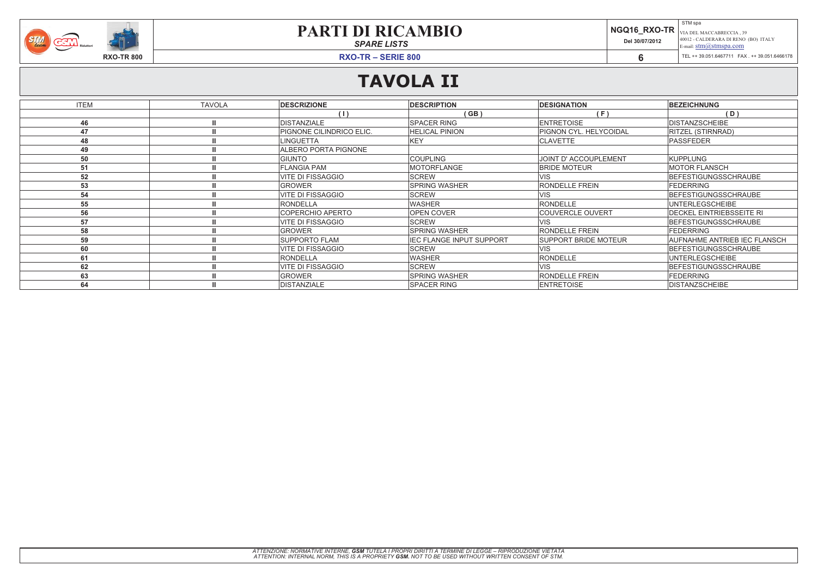*SPARE LISTS*

| <b>MBIO</b> | Del 30/07/2012 | STM spa<br>$\parallel$ NGQ16_RXO-TR $\mid_{\rm VIA\, DEL\, MACCABRECCIA\, ,\, 39}$<br>40012 - CALDERARA DI RENO (BO) ITALY<br>E-mail: $\text{stm}(\mathcal{Q})$ stmspa.com |
|-------------|----------------|----------------------------------------------------------------------------------------------------------------------------------------------------------------------------|
|             |                |                                                                                                                                                                            |
|             |                |                                                                                                                                                                            |

**RXO-TR – SERIE 800**



# **TAVOLA II**

| <b>ITEM</b> | <b>TAVOLA</b> | <b>DESCRIZIONE</b>          | <b>DESCRIPTION</b>              | <b>DESIGNATION</b>          | <b>BEZEICHNUNG</b>                  |
|-------------|---------------|-----------------------------|---------------------------------|-----------------------------|-------------------------------------|
|             |               | (   )                       | (GB)                            | (F)                         | (D)                                 |
| 46          |               | <b>DISTANZIALE</b>          | <b>SPACER RING</b>              | <b>ENTRETOISE</b>           | <b>DISTANZSCHEIBE</b>               |
| 47          |               | PIGNONE CILINDRICO ELIC.    | <b>HELICAL PINION</b>           | PIGNON CYL. HELYCOIDAL      | <b>RITZEL (STIRNRAD)</b>            |
| 48          |               | <b>LINGUETTA</b>            | <b>KEY</b>                      | <b>CLAVETTE</b>             | PASSFEDER                           |
| 49          |               | <b>ALBERO PORTA PIGNONE</b> |                                 |                             |                                     |
| 50          |               | <b>GIUNTO</b>               | <b>COUPLING</b>                 | JOINT D' ACCOUPLEMENT       | <b>KUPPLUNG</b>                     |
| 51          |               | <b>FLANGIA PAM</b>          | <b>MOTORFLANGE</b>              | <b>BRIDE MOTEUR</b>         | <b>MOTOR FLANSCH</b>                |
| 52          |               | <b>VITE DI FISSAGGIO</b>    | <b>SCREW</b>                    | <b>VIS</b>                  | <b>BEFESTIGUNGSSCHRAUBE</b>         |
| 53          |               | <b>GROWER</b>               | <b>SPRING WASHER</b>            | <b>RONDELLE FREIN</b>       | <b>FEDERRING</b>                    |
| 54          |               | <b>VITE DI FISSAGGIO</b>    | <b>SCREW</b>                    | <b>VIS</b>                  | BEFESTIGUNGSSCHRAUBE                |
| 55          |               | RONDELLA                    | <b>WASHER</b>                   | <b>RONDELLE</b>             | <b>UNTERLEGSCHEIBE</b>              |
| 56          |               | <b>COPERCHIO APERTO</b>     | OPEN COVER                      | <b>COUVERCLE OUVERT</b>     | <b>DECKEL EINTRIEBSSEITE RI</b>     |
| 57          |               | <b>VITE DI FISSAGGIO</b>    | <b>SCREW</b>                    | <b>VIS</b>                  | BEFESTIGUNGSSCHRAUBE                |
| 58          |               | <b>GROWER</b>               | <b>SPRING WASHER</b>            | <b>RONDELLE FREIN</b>       | <b>FEDERRING</b>                    |
| 59          |               | <b>SUPPORTO FLAM</b>        | <b>IEC FLANGE INPUT SUPPORT</b> | <b>SUPPORT BRIDE MOTEUR</b> | <b>AUFNAHME ANTRIEB IEC FLANSCH</b> |
| 60          |               | <b>VITE DI FISSAGGIO</b>    | <b>SCREW</b>                    | <b>VIS</b>                  | BEFESTIGUNGSSCHRAUBE                |
| 61          |               | <b>RONDELLA</b>             | <b>WASHER</b>                   | RONDELLE                    | <b>UNTERLEGSCHEIBE</b>              |
| 62          |               | <b>VITE DI FISSAGGIO</b>    | <b>SCREW</b>                    | <b>VIS</b>                  | <b>BEFESTIGUNGSSCHRAUBE</b>         |
| 63          |               | <b>GROWER</b>               | <b>SPRING WASHER</b>            | <b>RONDELLE FREIN</b>       | <b>FEDERRING</b>                    |
| 64          |               | <b>DISTANZIALE</b>          | <b>SPACER RING</b>              | <b>ENTRETOISE</b>           | <b>DISTANZSCHEIBE</b>               |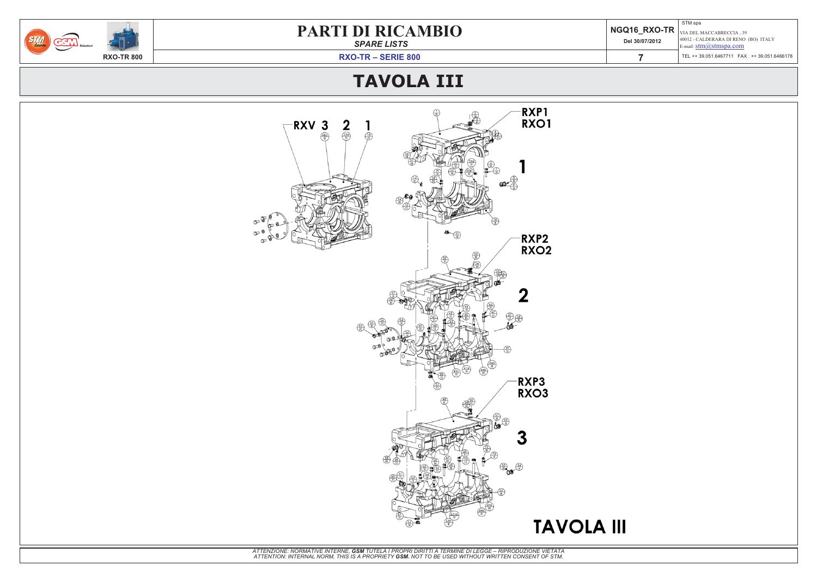*SPARE LISTS*

| <b>MBIO</b> | Del 30/07/2012 | STM spa<br>$\parallel$ NGQ16_RXO-TR $\mid_{\rm VIA\, DEL\, MACCABRECCIA\, ,\, 39}$<br>40012 - CALDERARA DI RENO (BO) ITALY<br>E-mail: $\frac{\text{stm}(\text{d})\text{stm}(\text{span}.\text{com})}{\text{sum}(\text{dim} \text{min})}$ |
|-------------|----------------|------------------------------------------------------------------------------------------------------------------------------------------------------------------------------------------------------------------------------------------|
|             |                | TEL ++ 39.051.6467711  FAX . ++ 39.051.6466178                                                                                                                                                                                           |
|             |                |                                                                                                                                                                                                                                          |

**RXO-TR – SERIE 800**



# **TAVOLA III**

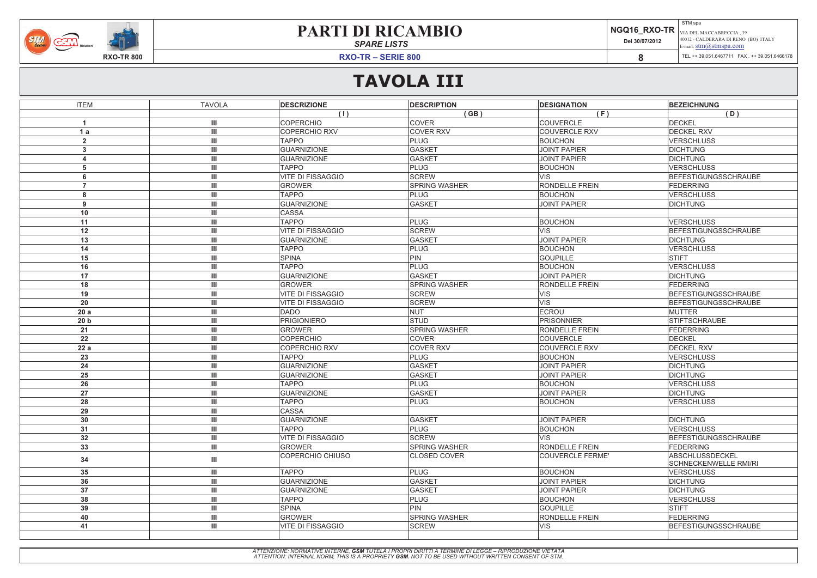*SPARE LISTS*

| <b>MBIO</b> | Del 30/07/2012 | STM spa<br>$\mid$ NGQ16 RXO-TR $\mid_{\rm VIA\, DEL\, MACCABRECCIA\, ,\, 39}$<br>40012 - CALDERARA DI RENO (BO) ITALY<br>E-mail: $\frac{\text{stm}(a) \text{stm}}{s}$ |
|-------------|----------------|-----------------------------------------------------------------------------------------------------------------------------------------------------------------------|
|             |                | TEL ++ 39.051.6467711  FAX . ++ 39.051.6466178                                                                                                                        |

**RXO-TR – SERIE 800**



# **TAVOLA III**

| <b>ITEM</b>             | <b>TAVOLA</b>                      | <b>DESCRIZIONE</b>       | <b>DESCRIPTION</b>   | <b>DESIGNATION</b>    | <b>BEZEICHNUNG</b>           |
|-------------------------|------------------------------------|--------------------------|----------------------|-----------------------|------------------------------|
|                         |                                    | (1)                      | (GB)                 | (F)                   | (D)                          |
| $\overline{\mathbf{1}}$ | $\mathbf{III}$                     | <b>COPERCHIO</b>         | <b>COVER</b>         | COUVERCLE             | <b>DECKEL</b>                |
| 1a                      | $\mathbf{III}$                     | <b>COPERCHIO RXV</b>     | <b>COVER RXV</b>     | <b>COUVERCLE RXV</b>  | <b>DECKEL RXV</b>            |
| $\overline{2}$          | $\mathbf{III}$                     | <b>TAPPO</b>             | PLUG                 | <b>BOUCHON</b>        | <b>VERSCHLUSS</b>            |
| $\mathbf{3}$            | $\ensuremath{\mathsf{III}}\xspace$ | <b>GUARNIZIONE</b>       | <b>GASKET</b>        | JOINT PAPIER          | <b>DICHTUNG</b>              |
| 4                       | Ш                                  | <b>GUARNIZIONE</b>       | <b>GASKET</b>        | JOINT PAPIER          | <b>DICHTUNG</b>              |
| 5                       | Ш                                  | <b>TAPPO</b>             | PLUG                 | <b>BOUCHON</b>        | <b>VERSCHLUSS</b>            |
| 6                       | $\mathbf{III}$                     | <b>VITE DI FISSAGGIO</b> | <b>SCREW</b>         | <b>VIS</b>            | <b>BEFESTIGUNGSSCHRAUBE</b>  |
| $\overline{7}$          | $\mathbf{III}$                     | <b>GROWER</b>            | <b>SPRING WASHER</b> | <b>RONDELLE FREIN</b> | FEDERRING                    |
| 8                       | $\ensuremath{\mathsf{III}}\xspace$ | <b>TAPPO</b>             | <b>PLUG</b>          | <b>BOUCHON</b>        | <b>VERSCHLUSS</b>            |
| 9                       | $\ensuremath{\mathsf{III}}\xspace$ | <b>GUARNIZIONE</b>       | <b>GASKET</b>        | JOINT PAPIER          | <b>DICHTUNG</b>              |
| 10                      | $\mathbf{III}$                     | <b>CASSA</b>             |                      |                       |                              |
| 11                      | $\mathbf{III}$                     | <b>TAPPO</b>             | PLUG                 | <b>BOUCHON</b>        | <b>VERSCHLUSS</b>            |
| 12                      | Ш                                  | <b>VITE DI FISSAGGIO</b> | <b>SCREW</b>         | <b>VIS</b>            | BEFESTIGUNGSSCHRAUBE         |
| 13                      | Ш                                  | <b>GUARNIZIONE</b>       | <b>GASKET</b>        | JOINT PAPIER          | <b>DICHTUNG</b>              |
| 14                      | $\ensuremath{\mathsf{III}}\xspace$ | <b>TAPPO</b>             | <b>PLUG</b>          | <b>BOUCHON</b>        | <b>VERSCHLUSS</b>            |
| 15                      | $\ensuremath{\mathsf{III}}\xspace$ | <b>SPINA</b>             | PIN                  | GOUPILLE              | <b>STIFT</b>                 |
| 16                      | $\ensuremath{\mathsf{III}}\xspace$ | <b>TAPPO</b>             | <b>PLUG</b>          | <b>BOUCHON</b>        | <b>VERSCHLUSS</b>            |
| 17                      | Ш                                  | <b>GUARNIZIONE</b>       | <b>GASKET</b>        | JOINT PAPIER          | <b>DICHTUNG</b>              |
| 18                      | Ш                                  | <b>GROWER</b>            | <b>SPRING WASHER</b> | <b>RONDELLE FREIN</b> | FEDERRING                    |
| 19                      | $\mathbf{III}$                     | <b>VITE DI FISSAGGIO</b> | <b>SCREW</b>         | <b>VIS</b>            | BEFESTIGUNGSSCHRAUBE         |
| 20                      | $\ensuremath{\mathsf{III}}\xspace$ | <b>VITE DI FISSAGGIO</b> | <b>SCREW</b>         | <b>VIS</b>            | <b>BEFESTIGUNGSSCHRAUBE</b>  |
| 20a                     | $\mathbf{III}$                     | DADO                     | NUT                  | ECROU                 | <b>MUTTER</b>                |
| 20 <sub>b</sub>         | $\mathbf{III}$                     | <b>PRIGIONIERO</b>       | STUD                 | PRISONNIER            | <b>STIFTSCHRAUBE</b>         |
| 21                      | $\mathbf{III}$                     | <b>GROWER</b>            | <b>SPRING WASHER</b> | <b>RONDELLE FREIN</b> | FEDERRING                    |
| 22                      | $\ensuremath{\mathsf{III}}\xspace$ | <b>COPERCHIO</b>         | <b>COVER</b>         | <b>COUVERCLE</b>      | <b>DECKEL</b>                |
| 22a                     | Ш                                  | <b>COPERCHIO RXV</b>     | <b>COVER RXV</b>     | <b>COUVERCLE RXV</b>  | <b>DECKEL RXV</b>            |
| 23                      | Ш                                  | <b>TAPPO</b>             | PLUG                 | <b>BOUCHON</b>        | <b>VERSCHLUSS</b>            |
| 24                      | $\mathbf{III}$                     | <b>GUARNIZIONE</b>       | <b>GASKET</b>        | JOINT PAPIER          | <b>DICHTUNG</b>              |
| 25                      | Ш                                  | <b>GUARNIZIONE</b>       | <b>GASKET</b>        | JOINT PAPIER          | <b>DICHTUNG</b>              |
| 26                      | $\mathbf{III}$                     | <b>TAPPO</b>             | <b>PLUG</b>          | <b>BOUCHON</b>        | <b>VERSCHLUSS</b>            |
| 27                      | $\mathbf{III}$                     | <b>GUARNIZIONE</b>       | <b>GASKET</b>        | JOINT PAPIER          | <b>DICHTUNG</b>              |
| 28                      | $\mathop{\rm III}\nolimits$        | <b>TAPPO</b>             | PLUG                 | <b>BOUCHON</b>        | <b>VERSCHLUSS</b>            |
| 29                      | Ш                                  | <b>CASSA</b>             |                      |                       |                              |
| 30                      | Ш                                  | <b>GUARNIZIONE</b>       | <b>GASKET</b>        | JOINT PAPIER          | <b>DICHTUNG</b>              |
| 31                      | Ш                                  | <b>TAPPO</b>             | <b>PLUG</b>          | <b>BOUCHON</b>        | <b>VERSCHLUSS</b>            |
| 32                      | $\mathop{\rm III}\nolimits$        | VITE DI FISSAGGIO        | <b>SCREW</b>         | <b>VIS</b>            | BEFESTIGUNGSSCHRAUBE         |
| 33                      | $\mathop{\rm III}\nolimits$        | <b>GROWER</b>            | <b>SPRING WASHER</b> | <b>RONDELLE FREIN</b> | FEDERRING                    |
|                         |                                    | <b>COPERCHIO CHIUSO</b>  | <b>CLOSED COVER</b>  | COUVERCLE FERME'      | ABSCHLUSSDECKEL              |
| 34                      | Ш                                  |                          |                      |                       | <b>SCHNECKENWELLE RMI/RI</b> |
| 35                      | Ш                                  | <b>TAPPO</b>             | PLUG                 | <b>BOUCHON</b>        | <b>VERSCHLUSS</b>            |
| 36                      | Ш                                  | <b>GUARNIZIONE</b>       | <b>GASKET</b>        | JOINT PAPIER          | <b>DICHTUNG</b>              |
| 37                      | Ш                                  | <b>GUARNIZIONE</b>       | <b>GASKET</b>        | JOINT PAPIER          | <b>DICHTUNG</b>              |
| 38                      | Ш                                  | <b>TAPPO</b>             | <b>PLUG</b>          | <b>BOUCHON</b>        | <b>VERSCHLUSS</b>            |
| 39                      | Ш                                  | <b>SPINA</b>             | <b>PIN</b>           | GOUPILLE              | <b>STIFT</b>                 |
| 40                      | $\ensuremath{\mathsf{III}}\xspace$ | <b>GROWER</b>            | <b>SPRING WASHER</b> | <b>RONDELLE FREIN</b> | FEDERRING                    |
| 41                      | $\mathop{\rm III}\nolimits$        | VITE DI FISSAGGIO        | <b>SCREW</b>         | <b>VIS</b>            | <b>BEFESTIGUNGSSCHRAUBE</b>  |
|                         |                                    |                          |                      |                       |                              |